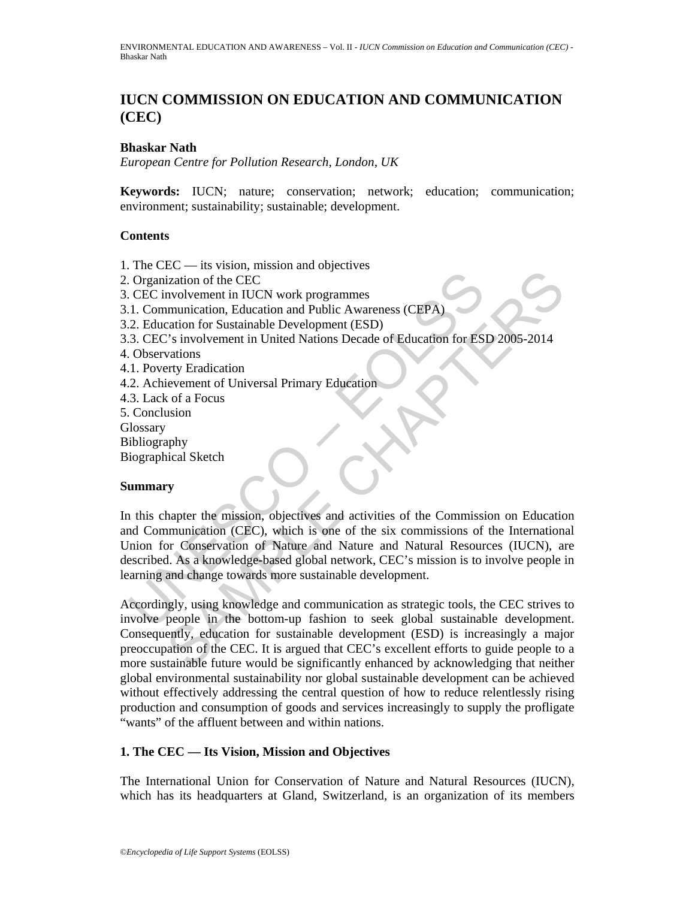# **IUCN COMMISSION ON EDUCATION AND COMMUNICATION (CEC)**

### **Bhaskar Nath**

*European Centre for Pollution Research, London, UK* 

**Keywords:** IUCN; nature; conservation; network; education; communication; environment; sustainability; sustainable; development.

### **Contents**

1. The CEC — its vision, mission and objectives

- 2. Organization of the CEC
- 3. CEC involvement in IUCN work programmes
- 3.1. Communication, Education and Public Awareness (CEPA)
- 3.2. Education for Sustainable Development (ESD)
- 3.3. CEC's involvement in United Nations Decade of Education for ESD 2005-2014
- 4. Observations
- 4.1. Poverty Eradication
- 4.2. Achievement of Universal Primary Education
- 4.3. Lack of a Focus
- 5. Conclusion
- **Glossary**
- Bibliography

Biographical Sketch

### **Summary**

CREATED CONSISTED AND MONOGRAPY CONSISTED INTO THE DETERMIND AND NOTE CONSISTED.<br>
2. Education of Sustainable Development (ESD)<br>
2. Education of Sustainable Development (ESD)<br>
2. Education for ESS (Observations<br>
2. Cheivem Constrained in TICCN work programmes<br>
Tradition of the CEC<br>
Involvement in IUCN work programmes<br>
Tradiction and Public Awareness (CEPA)<br>
Catation for Sustainable Development (ESD)<br>
The Sample Method Mathemateum of Universa In this chapter the mission, objectives and activities of the Commission on Education and Communication (CEC), which is one of the six commissions of the International Union for Conservation of Nature and Nature and Natural Resources (IUCN), are described. As a knowledge-based global network, CEC's mission is to involve people in learning and change towards more sustainable development.

Accordingly, using knowledge and communication as strategic tools, the CEC strives to involve people in the bottom-up fashion to seek global sustainable development. Consequently, education for sustainable development (ESD) is increasingly a major preoccupation of the CEC. It is argued that CEC's excellent efforts to guide people to a more sustainable future would be significantly enhanced by acknowledging that neither global environmental sustainability nor global sustainable development can be achieved without effectively addressing the central question of how to reduce relentlessly rising production and consumption of goods and services increasingly to supply the profligate "wants" of the affluent between and within nations.

### **1. The CEC — Its Vision, Mission and Objectives**

The International Union for Conservation of Nature and Natural Resources (IUCN), which has its headquarters at Gland, Switzerland, is an organization of its members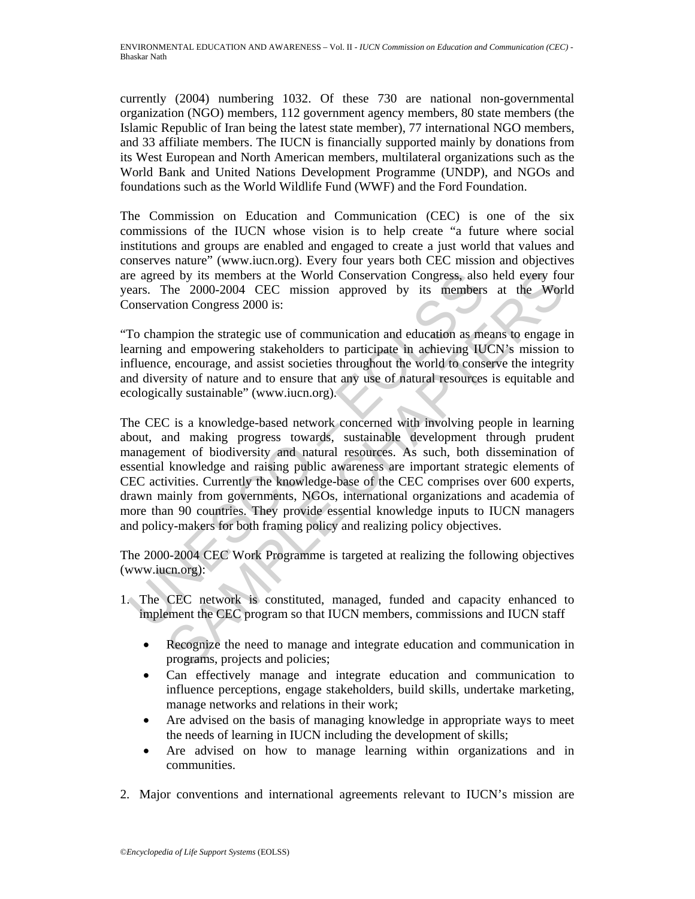currently (2004) numbering 1032. Of these 730 are national non-governmental organization (NGO) members, 112 government agency members, 80 state members (the Islamic Republic of Iran being the latest state member), 77 international NGO members, and 33 affiliate members. The IUCN is financially supported mainly by donations from its West European and North American members, multilateral organizations such as the World Bank and United Nations Development Programme (UNDP), and NGOs and foundations such as the World Wildlife Fund (WWF) and the Ford Foundation.

The Commission on Education and Communication (CEC) is one of the six commissions of the IUCN whose vision is to help create "a future where social institutions and groups are enabled and engaged to create a just world that values and conserves nature" (www.iucn.org). Every four years both CEC mission and objectives are agreed by its members at the World Conservation Congress, also held every four years. The 2000-2004 CEC mission approved by its members at the World Conservation Congress 2000 is:

"To champion the strategic use of communication and education as means to engage in learning and empowering stakeholders to participate in achieving IUCN's mission to influence, encourage, and assist societies throughout the world to conserve the integrity and diversity of nature and to ensure that any use of natural resources is equitable and ecologically sustainable" (www.iucn.org).

resourcess, also<br>
resourcess. The 2000-2004 CEC mission approved by its members<br>
onservation Congress 2000 is:<br>
To champion the strategic use of communication and education as meaning and empowering stakeholders to partici d by its members at the World Conservation Congress, also held every fothe 2000-2004 CEC mission approved by its members at the World Conservation cogress 2000 is:<br>
mpion the strategic use of communication and education as The CEC is a knowledge-based network concerned with involving people in learning about, and making progress towards, sustainable development through prudent management of biodiversity and natural resources. As such, both dissemination of essential knowledge and raising public awareness are important strategic elements of CEC activities. Currently the knowledge-base of the CEC comprises over 600 experts, drawn mainly from governments, NGOs, international organizations and academia of more than 90 countries. They provide essential knowledge inputs to IUCN managers and policy-makers for both framing policy and realizing policy objectives.

The 2000-2004 CEC Work Programme is targeted at realizing the following objectives (www.iucn.org):

- 1. The CEC network is constituted, managed, funded and capacity enhanced to implement the CEC program so that IUCN members, commissions and IUCN staff
	- Recognize the need to manage and integrate education and communication in programs, projects and policies;
	- Can effectively manage and integrate education and communication to influence perceptions, engage stakeholders, build skills, undertake marketing, manage networks and relations in their work;
	- Are advised on the basis of managing knowledge in appropriate ways to meet the needs of learning in IUCN including the development of skills;
	- Are advised on how to manage learning within organizations and in communities.
- 2. Major conventions and international agreements relevant to IUCN's mission are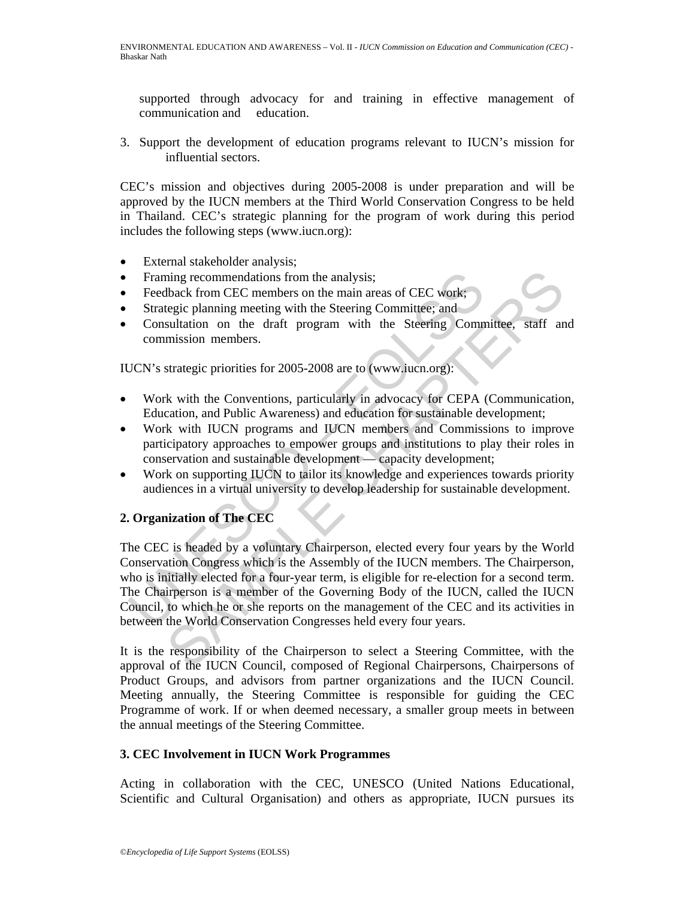supported through advocacy for and training in effective management of communication and education.

3. Support the development of education programs relevant to IUCN's mission for influential sectors.

CEC's mission and objectives during 2005-2008 is under preparation and will be approved by the IUCN members at the Third World Conservation Congress to be held in Thailand. CEC's strategic planning for the program of work during this period includes the following steps (www.iucn.org):

- External stakeholder analysis;
- Framing recommendations from the analysis;
- Feedback from CEC members on the main areas of CEC work;
- Strategic planning meeting with the Steering Committee; and
- Consultation on the draft program with the Steering Committee, staff and commission members.

IUCN's strategic priorities for 2005-2008 are to (www.iucn.org):

- Work with the Conventions, particularly in advocacy for CEPA (Communication, Education, and Public Awareness) and education for sustainable development;
- Work with IUCN programs and IUCN members and Commissions to improve participatory approaches to empower groups and institutions to play their roles in conservation and sustainable development — capacity development;
- Work on supporting IUCN to tailor its knowledge and experiences towards priority audiences in a virtual university to develop leadership for sustainable development.

## **2. Organization of The CEC**

Framing recommendations from the analysis;<br>Feedback from CEC members on the main areas of CEC work;<br>Strategic planning meeting with the Steering Committee; and<br>Consultation on the draft program with the Steering Comm<br>commi ming recommendations from the analysis;<br>
liback from CEC members on the main areas of CEC work;<br>
legate planning meeting with the Steering Committee; and<br>
sultation on the draft program with the Steering Committee, staff a The CEC is headed by a voluntary Chairperson, elected every four years by the World Conservation Congress which is the Assembly of the IUCN members. The Chairperson, who is initially elected for a four-year term, is eligible for re-election for a second term. The Chairperson is a member of the Governing Body of the IUCN, called the IUCN Council, to which he or she reports on the management of the CEC and its activities in between the World Conservation Congresses held every four years.

It is the responsibility of the Chairperson to select a Steering Committee, with the approval of the IUCN Council, composed of Regional Chairpersons, Chairpersons of Product Groups, and advisors from partner organizations and the IUCN Council. Meeting annually, the Steering Committee is responsible for guiding the CEC Programme of work. If or when deemed necessary, a smaller group meets in between the annual meetings of the Steering Committee.

### **3. CEC Involvement in IUCN Work Programmes**

Acting in collaboration with the CEC, UNESCO (United Nations Educational, Scientific and Cultural Organisation) and others as appropriate, IUCN pursues its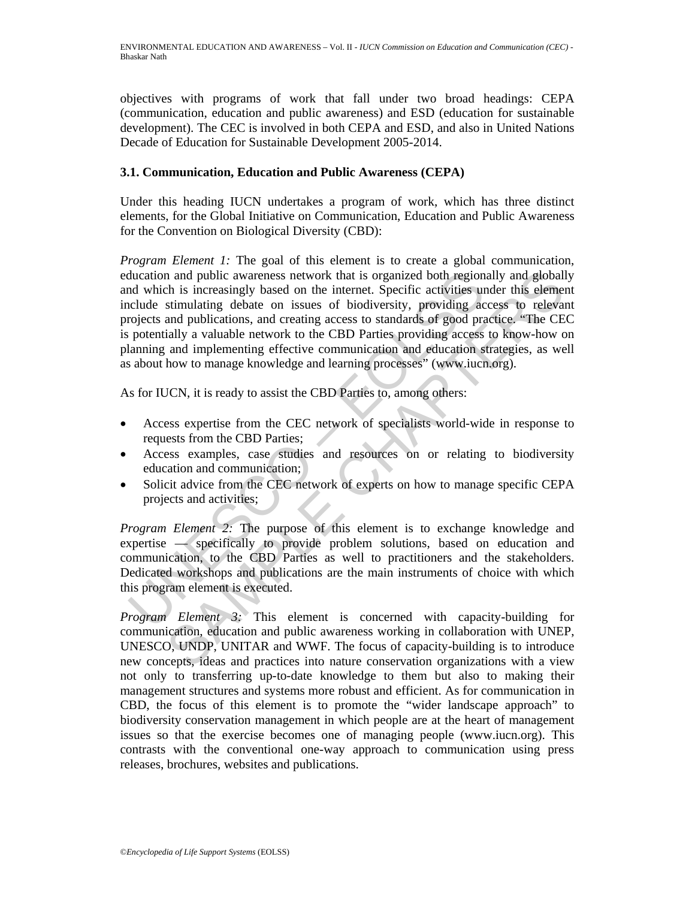objectives with programs of work that fall under two broad headings: CEPA (communication, education and public awareness) and ESD (education for sustainable development). The CEC is involved in both CEPA and ESD, and also in United Nations Decade of Education for Sustainable Development 2005-2014.

### **3.1. Communication, Education and Public Awareness (CEPA)**

Under this heading IUCN undertakes a program of work, which has three distinct elements, for the Global Initiative on Communication, Education and Public Awareness for the Convention on Biological Diversity (CBD):

ducation and public awareness network that is organized both region<br>de which is increasingly based on the internet. Specific activities unclude stimulating debate on issues of biodiversity, providing accustory<br>collects and and public awareness network that is organized both regionally and globall<br>this increasingly based on the internet. Specific activities under this element<br>stimulating debate on issues of biodiversity, providing access to *Program Element 1:* The goal of this element is to create a global communication, education and public awareness network that is organized both regionally and globally and which is increasingly based on the internet. Specific activities under this element include stimulating debate on issues of biodiversity, providing access to relevant projects and publications, and creating access to standards of good practice. "The CEC is potentially a valuable network to the CBD Parties providing access to know-how on planning and implementing effective communication and education strategies, as well as about how to manage knowledge and learning processes" (www.iucn.org).

As for IUCN, it is ready to assist the CBD Parties to, among others:

- Access expertise from the CEC network of specialists world-wide in response to requests from the CBD Parties;
- Access examples, case studies and resources on or relating to biodiversity education and communication;
- Solicit advice from the CEC network of experts on how to manage specific CEPA projects and activities;

*Program Element 2:* The purpose of this element is to exchange knowledge and expertise — specifically to provide problem solutions, based on education and communication, to the CBD Parties as well to practitioners and the stakeholders. Dedicated workshops and publications are the main instruments of choice with which this program element is executed.

*Program Element 3:* This element is concerned with capacity-building for communication, education and public awareness working in collaboration with UNEP, UNESCO, UNDP, UNITAR and WWF. The focus of capacity-building is to introduce new concepts, ideas and practices into nature conservation organizations with a view not only to transferring up-to-date knowledge to them but also to making their management structures and systems more robust and efficient. As for communication in CBD, the focus of this element is to promote the "wider landscape approach" to biodiversity conservation management in which people are at the heart of management issues so that the exercise becomes one of managing people (www.iucn.org). This contrasts with the conventional one-way approach to communication using press releases, brochures, websites and publications.